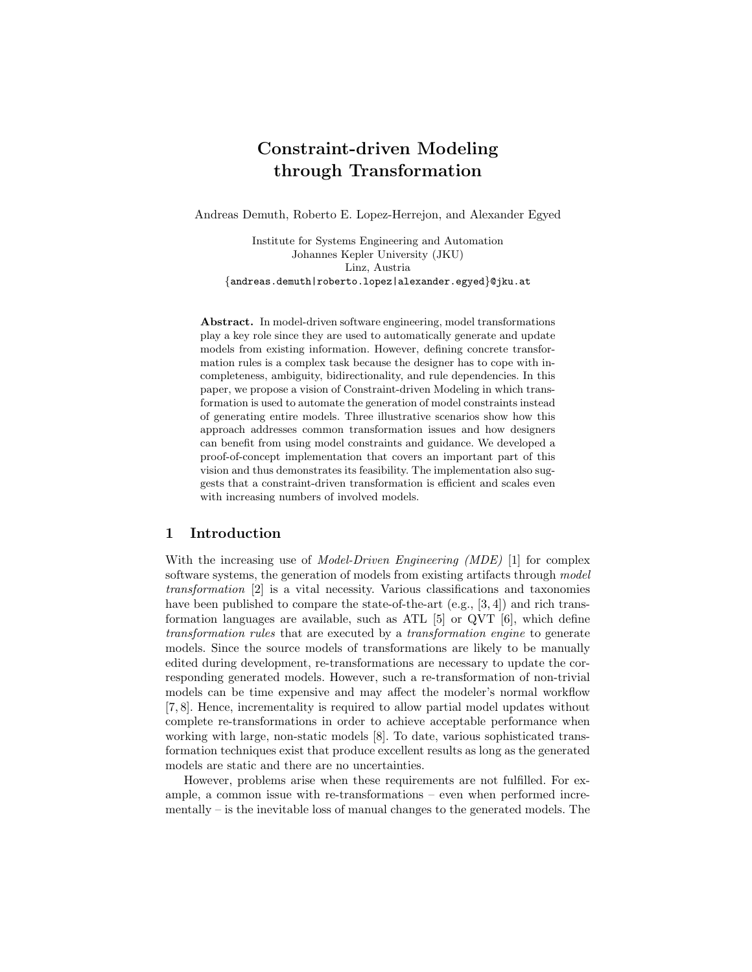# Constraint-driven Modeling through Transformation

Andreas Demuth, Roberto E. Lopez-Herrejon, and Alexander Egyed

Institute for Systems Engineering and Automation Johannes Kepler University (JKU) Linz, Austria {andreas.demuth|roberto.lopez|alexander.egyed}@jku.at

Abstract. In model-driven software engineering, model transformations play a key role since they are used to automatically generate and update models from existing information. However, defining concrete transformation rules is a complex task because the designer has to cope with incompleteness, ambiguity, bidirectionality, and rule dependencies. In this paper, we propose a vision of Constraint-driven Modeling in which transformation is used to automate the generation of model constraints instead of generating entire models. Three illustrative scenarios show how this approach addresses common transformation issues and how designers can benefit from using model constraints and guidance. We developed a proof-of-concept implementation that covers an important part of this vision and thus demonstrates its feasibility. The implementation also suggests that a constraint-driven transformation is efficient and scales even with increasing numbers of involved models.

# 1 Introduction

With the increasing use of *Model-Driven Engineering (MDE)* [1] for complex software systems, the generation of models from existing artifacts through *model* transformation [2] is a vital necessity. Various classifications and taxonomies have been published to compare the state-of-the-art (e.g., [3, 4]) and rich transformation languages are available, such as ATL  $[5]$  or QVT  $[6]$ , which define transformation rules that are executed by a transformation engine to generate models. Since the source models of transformations are likely to be manually edited during development, re-transformations are necessary to update the corresponding generated models. However, such a re-transformation of non-trivial models can be time expensive and may affect the modeler's normal workflow [7, 8]. Hence, incrementality is required to allow partial model updates without complete re-transformations in order to achieve acceptable performance when working with large, non-static models [8]. To date, various sophisticated transformation techniques exist that produce excellent results as long as the generated models are static and there are no uncertainties.

However, problems arise when these requirements are not fulfilled. For example, a common issue with re-transformations – even when performed incrementally  $-$  is the inevitable loss of manual changes to the generated models. The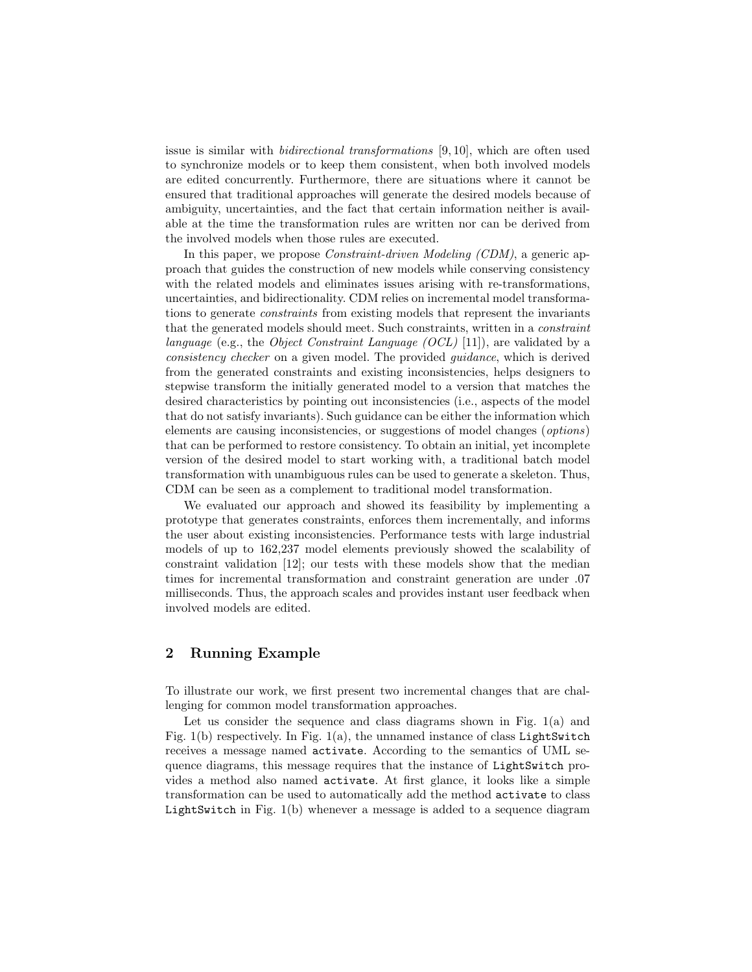issue is similar with bidirectional transformations [9, 10], which are often used to synchronize models or to keep them consistent, when both involved models are edited concurrently. Furthermore, there are situations where it cannot be ensured that traditional approaches will generate the desired models because of ambiguity, uncertainties, and the fact that certain information neither is available at the time the transformation rules are written nor can be derived from the involved models when those rules are executed.

In this paper, we propose *Constraint-driven Modeling (CDM)*, a generic approach that guides the construction of new models while conserving consistency with the related models and eliminates issues arising with re-transformations, uncertainties, and bidirectionality. CDM relies on incremental model transformations to generate constraints from existing models that represent the invariants that the generated models should meet. Such constraints, written in a constraint language (e.g., the *Object Constraint Language (OCL)* [11]), are validated by a consistency checker on a given model. The provided guidance, which is derived from the generated constraints and existing inconsistencies, helps designers to stepwise transform the initially generated model to a version that matches the desired characteristics by pointing out inconsistencies (i.e., aspects of the model that do not satisfy invariants). Such guidance can be either the information which elements are causing inconsistencies, or suggestions of model changes (options) that can be performed to restore consistency. To obtain an initial, yet incomplete version of the desired model to start working with, a traditional batch model transformation with unambiguous rules can be used to generate a skeleton. Thus, CDM can be seen as a complement to traditional model transformation.

We evaluated our approach and showed its feasibility by implementing a prototype that generates constraints, enforces them incrementally, and informs the user about existing inconsistencies. Performance tests with large industrial models of up to 162,237 model elements previously showed the scalability of constraint validation [12]; our tests with these models show that the median times for incremental transformation and constraint generation are under .07 milliseconds. Thus, the approach scales and provides instant user feedback when involved models are edited.

# 2 Running Example

To illustrate our work, we first present two incremental changes that are challenging for common model transformation approaches.

Let us consider the sequence and class diagrams shown in Fig. 1(a) and Fig. 1(b) respectively. In Fig. 1(a), the unnamed instance of class LightSwitch receives a message named activate. According to the semantics of UML sequence diagrams, this message requires that the instance of LightSwitch provides a method also named activate. At first glance, it looks like a simple transformation can be used to automatically add the method activate to class LightSwitch in Fig. 1(b) whenever a message is added to a sequence diagram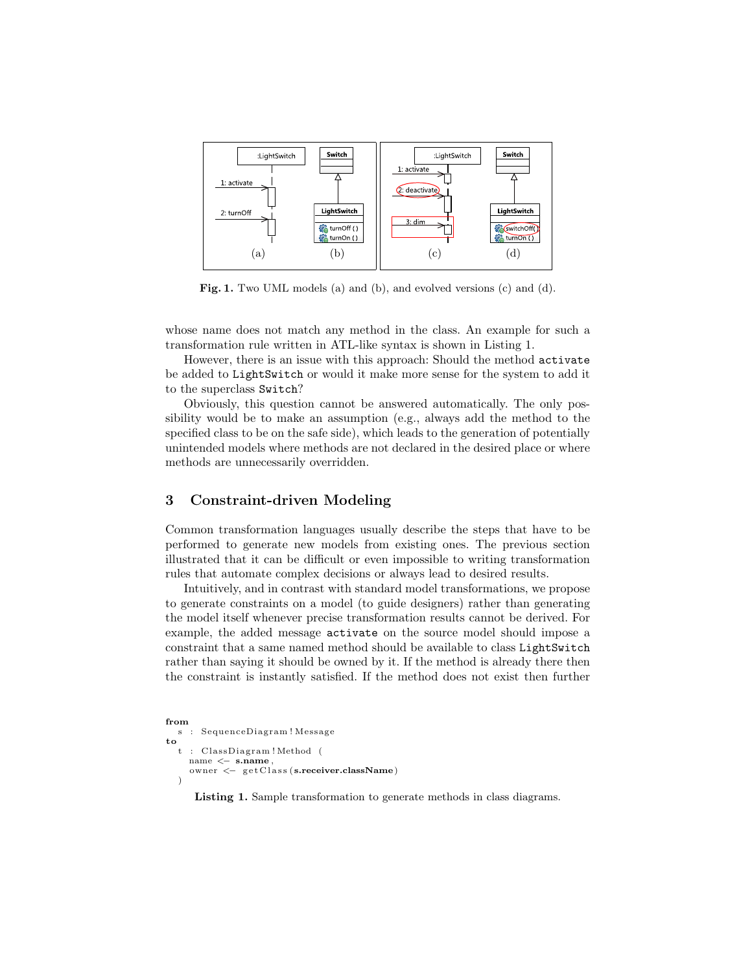

Fig. 1. Two UML models (a) and (b), and evolved versions (c) and (d).

whose name does not match any method in the class. An example for such a transformation rule written in ATL-like syntax is shown in Listing 1.

However, there is an issue with this approach: Should the method activate be added to LightSwitch or would it make more sense for the system to add it to the superclass Switch?

Obviously, this question cannot be answered automatically. The only possibility would be to make an assumption (e.g., always add the method to the specified class to be on the safe side), which leads to the generation of potentially unintended models where methods are not declared in the desired place or where methods are unnecessarily overridden.

# 3 Constraint-driven Modeling

Common transformation languages usually describe the steps that have to be performed to generate new models from existing ones. The previous section illustrated that it can be difficult or even impossible to writing transformation rules that automate complex decisions or always lead to desired results.

Intuitively, and in contrast with standard model transformations, we propose to generate constraints on a model (to guide designers) rather than generating the model itself whenever precise transformation results cannot be derived. For example, the added message activate on the source model should impose a constraint that a same named method should be available to class LightSwitch rather than saying it should be owned by it. If the method is already there then the constraint is instantly satisfied. If the method does not exist then further

```
from
  s : SequenceD iagram ! Message
to
    : ClassDiagram ! Method (
    name <− s.name ,
     owner <− g e t C l a s s (s.receiver.className)
  \lambda
```
Listing 1. Sample transformation to generate methods in class diagrams.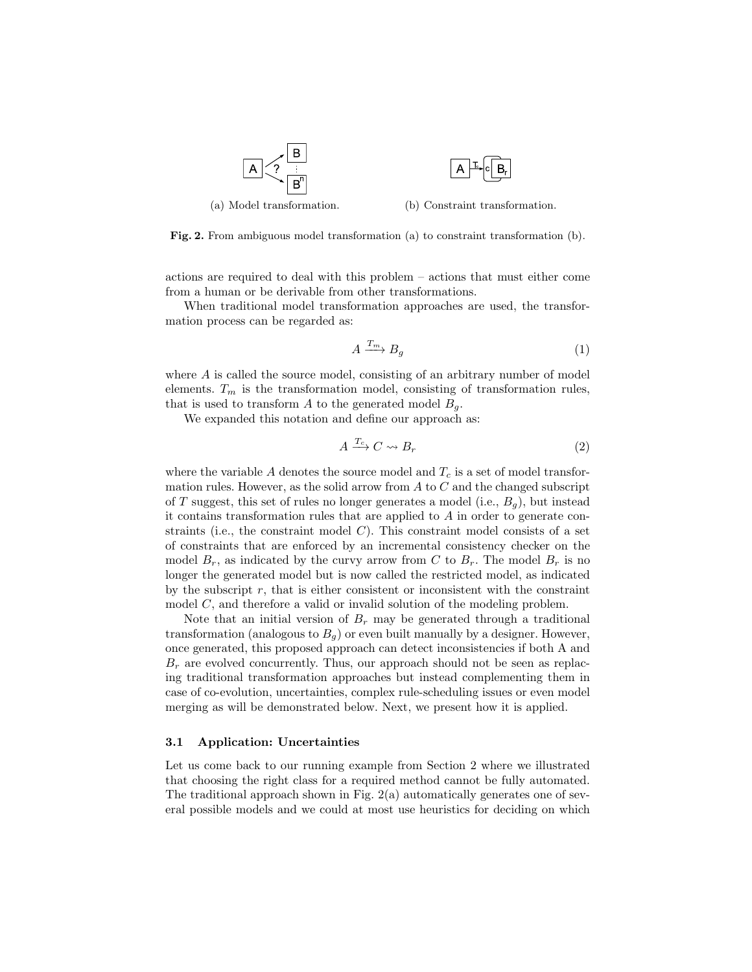

Fig. 2. From ambiguous model transformation (a) to constraint transformation (b).

actions are required to deal with this problem – actions that must either come from a human or be derivable from other transformations.

When traditional model transformation approaches are used, the transformation process can be regarded as:

$$
A \xrightarrow{T_m} B_g \tag{1}
$$

where A is called the source model, consisting of an arbitrary number of model elements.  $T_m$  is the transformation model, consisting of transformation rules, that is used to transform A to the generated model  $B<sub>q</sub>$ .

We expanded this notation and define our approach as:

$$
A \xrightarrow{T_c} C \leadsto B_r \tag{2}
$$

where the variable A denotes the source model and  $T_c$  is a set of model transformation rules. However, as the solid arrow from  $A$  to  $C$  and the changed subscript of T suggest, this set of rules no longer generates a model (i.e.,  $B<sub>a</sub>$ ), but instead it contains transformation rules that are applied to A in order to generate constraints (i.e., the constraint model  $C$ ). This constraint model consists of a set of constraints that are enforced by an incremental consistency checker on the model  $B_r$ , as indicated by the curvy arrow from C to  $B_r$ . The model  $B_r$  is no longer the generated model but is now called the restricted model, as indicated by the subscript  $r$ , that is either consistent or inconsistent with the constraint model C, and therefore a valid or invalid solution of the modeling problem.

Note that an initial version of  $B_r$  may be generated through a traditional transformation (analogous to  $B_q$ ) or even built manually by a designer. However, once generated, this proposed approach can detect inconsistencies if both A and  $B<sub>r</sub>$  are evolved concurrently. Thus, our approach should not be seen as replacing traditional transformation approaches but instead complementing them in case of co-evolution, uncertainties, complex rule-scheduling issues or even model merging as will be demonstrated below. Next, we present how it is applied.

### 3.1 Application: Uncertainties

Let us come back to our running example from Section 2 where we illustrated that choosing the right class for a required method cannot be fully automated. The traditional approach shown in Fig. 2(a) automatically generates one of several possible models and we could at most use heuristics for deciding on which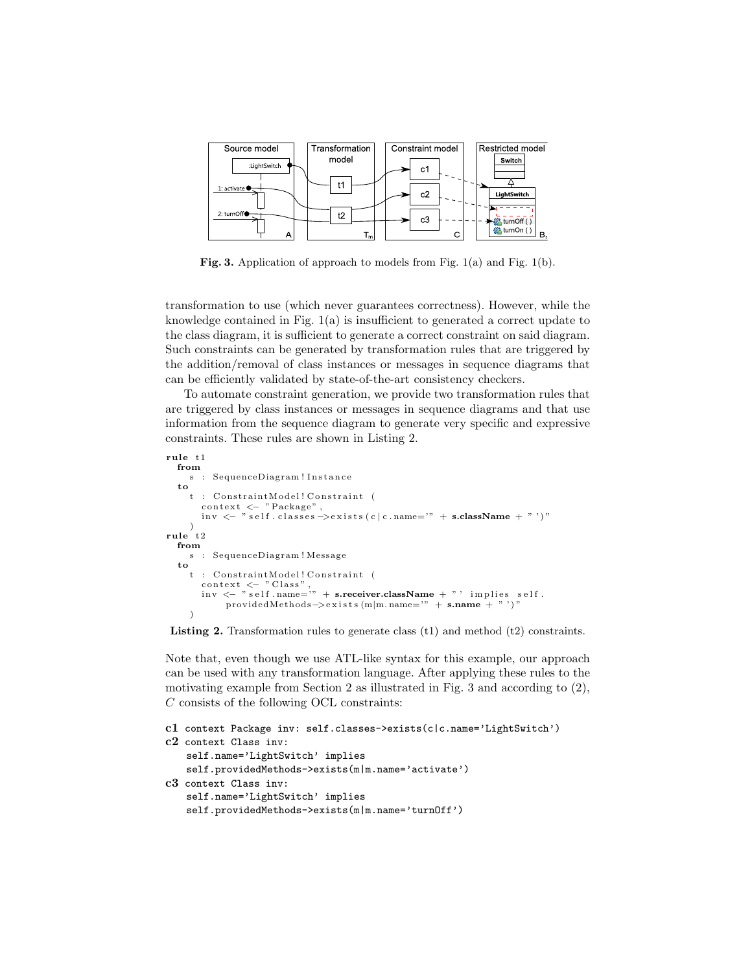

Fig. 3. Application of approach to models from Fig.  $1(a)$  and Fig.  $1(b)$ .

transformation to use (which never guarantees correctness). However, while the knowledge contained in Fig. 1(a) is insufficient to generated a correct update to the class diagram, it is sufficient to generate a correct constraint on said diagram. Such constraints can be generated by transformation rules that are triggered by the addition/removal of class instances or messages in sequence diagrams that can be efficiently validated by state-of-the-art consistency checkers.

To automate constraint generation, we provide two transformation rules that are triggered by class instances or messages in sequence diagrams and that use information from the sequence diagram to generate very specific and expressive constraints. These rules are shown in Listing 2.

```
rule t1
  from
     s : SequenceDiagram ! Instance
  to
     t : ConstraintModel! Constraint (
        context <− "Package",<br>inv <− "self.classes->exists(c|c.name='" + s.className + "')"
     )
rule t2
  from
     s : SequenceD iagram ! Message
  to
     t : ConstraintModel! Constraint (
        c o n t e x t <− " C l a s s " ,
in v <− " s e l f . name= '" + s.receiver.className + " ' i m p l i e s s e l f .
             providedMethods \rightarrowexists (m|m. name="" + s.name + ")'
      )
```
**Listing 2.** Transformation rules to generate class  $(t1)$  and method  $(t2)$  constraints.

Note that, even though we use ATL-like syntax for this example, our approach can be used with any transformation language. After applying these rules to the motivating example from Section 2 as illustrated in Fig. 3 and according to (2), C consists of the following OCL constraints:

```
c1 context Package inv: self.classes->exists(c|c.name='LightSwitch')
c2 context Class inv:
   self.name='LightSwitch' implies
   self.providedMethods->exists(m|m.name='activate')
c3 context Class inv:
   self.name='LightSwitch' implies
   self.providedMethods->exists(m|m.name='turnOff')
```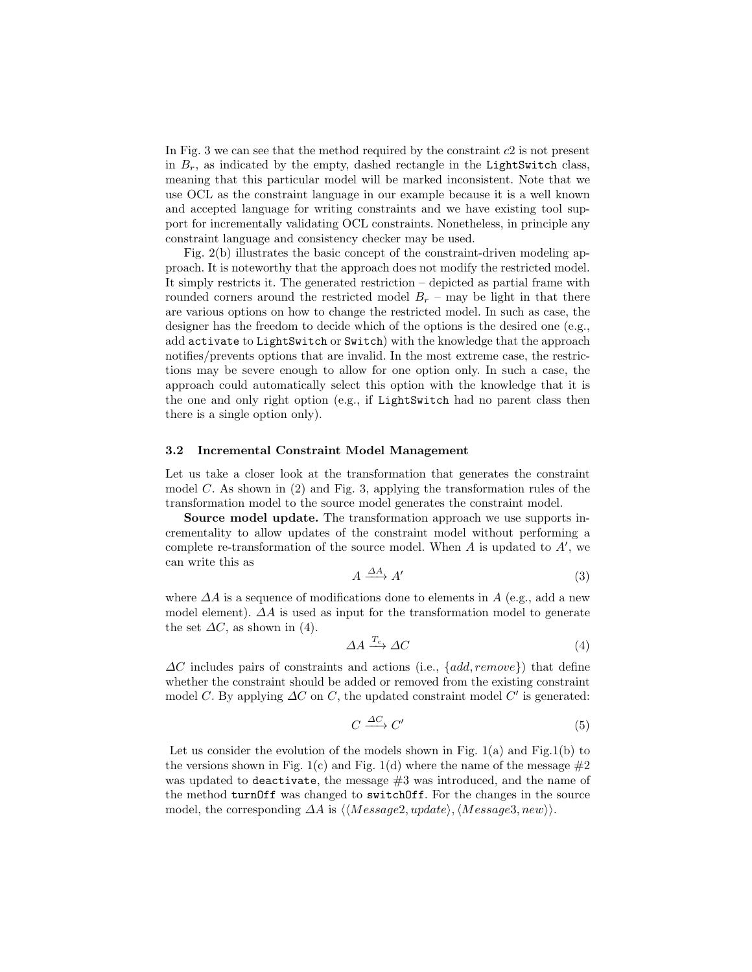In Fig. 3 we can see that the method required by the constraint  $c2$  is not present in  $B_r$ , as indicated by the empty, dashed rectangle in the LightSwitch class, meaning that this particular model will be marked inconsistent. Note that we use OCL as the constraint language in our example because it is a well known and accepted language for writing constraints and we have existing tool support for incrementally validating OCL constraints. Nonetheless, in principle any constraint language and consistency checker may be used.

Fig. 2(b) illustrates the basic concept of the constraint-driven modeling approach. It is noteworthy that the approach does not modify the restricted model. It simply restricts it. The generated restriction – depicted as partial frame with rounded corners around the restricted model  $B_r$  – may be light in that there are various options on how to change the restricted model. In such as case, the designer has the freedom to decide which of the options is the desired one (e.g., add activate to LightSwitch or Switch) with the knowledge that the approach notifies/prevents options that are invalid. In the most extreme case, the restrictions may be severe enough to allow for one option only. In such a case, the approach could automatically select this option with the knowledge that it is the one and only right option (e.g., if LightSwitch had no parent class then there is a single option only).

### 3.2 Incremental Constraint Model Management

Let us take a closer look at the transformation that generates the constraint model C. As shown in  $(2)$  and Fig. 3, applying the transformation rules of the transformation model to the source model generates the constraint model.

Source model update. The transformation approach we use supports incrementality to allow updates of the constraint model without performing a complete re-transformation of the source model. When  $A$  is updated to  $A'$ , we can write this as

$$
A \xrightarrow{\Delta A} A' \tag{3}
$$

where  $\Delta A$  is a sequence of modifications done to elements in A (e.g., add a new model element).  $\Delta A$  is used as input for the transformation model to generate the set  $\Delta C$ , as shown in (4).

$$
\Delta A \xrightarrow{T_c} \Delta C \tag{4}
$$

 $\Delta C$  includes pairs of constraints and actions (i.e., {add, remove}) that define whether the constraint should be added or removed from the existing constraint model C. By applying  $\Delta C$  on C, the updated constraint model C' is generated:

$$
C \xrightarrow{\Delta C} C' \tag{5}
$$

Let us consider the evolution of the models shown in Fig.  $1(a)$  and Fig.  $1(b)$  to the versions shown in Fig. 1(c) and Fig. 1(d) where the name of the message  $\#2$ was updated to deactivate, the message #3 was introduced, and the name of the method turnOff was changed to switchOff. For the changes in the source model, the corresponding  $\Delta A$  is  $\langle\langle Message2, update\rangle, \langle Message3, new\rangle\rangle$ .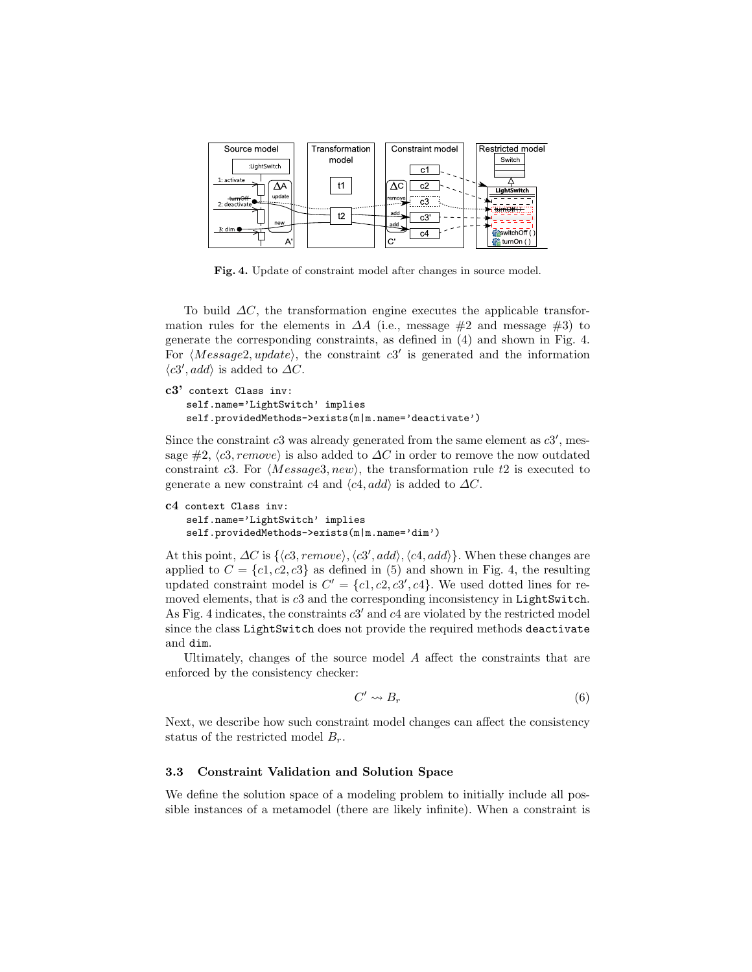

Fig. 4. Update of constraint model after changes in source model.

To build  $\Delta C$ , the transformation engine executes the applicable transformation rules for the elements in  $\Delta A$  (i.e., message #2 and message #3) to generate the corresponding constraints, as defined in (4) and shown in Fig. 4. For  $\langle Message2, update \rangle$ , the constraint  $c3'$  is generated and the information  $\langle c3', add \rangle$  is added to  $\Delta C$ .

```
c3' context Class inv:
   self.name='LightSwitch' implies
   self.providedMethods->exists(m|m.name='deactivate')
```
Since the constraint  $c3$  was already generated from the same element as  $c3'$ , message  $\#2$ ,  $\langle c3, remove \rangle$  is also added to  $\Delta C$  in order to remove the now outdated constraint c3. For  $\langle Message3, new \rangle$ , the transformation rule t2 is executed to generate a new constraint c4 and  $\langle c4, add \rangle$  is added to  $\Delta C$ .

### c4 context Class inv: self.name='LightSwitch' implies self.providedMethods->exists(m|m.name='dim')

At this point,  $\Delta C$  is  $\{\langle c3, remove \rangle, \langle c3', add \rangle, \langle c4, add \rangle\}.$  When these changes are applied to  $C = \{c_1, c_2, c_3\}$  as defined in (5) and shown in Fig. 4, the resulting updated constraint model is  $C' = \{c_1, c_2, c_3, c_4\}$ . We used dotted lines for removed elements, that is c3 and the corresponding inconsistency in LightSwitch. As Fig. 4 indicates, the constraints  $c3'$  and  $c4$  are violated by the restricted model since the class LightSwitch does not provide the required methods deactivate and dim.

Ultimately, changes of the source model A affect the constraints that are enforced by the consistency checker:

$$
C' \leadsto B_r \tag{6}
$$

Next, we describe how such constraint model changes can affect the consistency status of the restricted model  $B_r$ .

### 3.3 Constraint Validation and Solution Space

We define the solution space of a modeling problem to initially include all possible instances of a metamodel (there are likely infinite). When a constraint is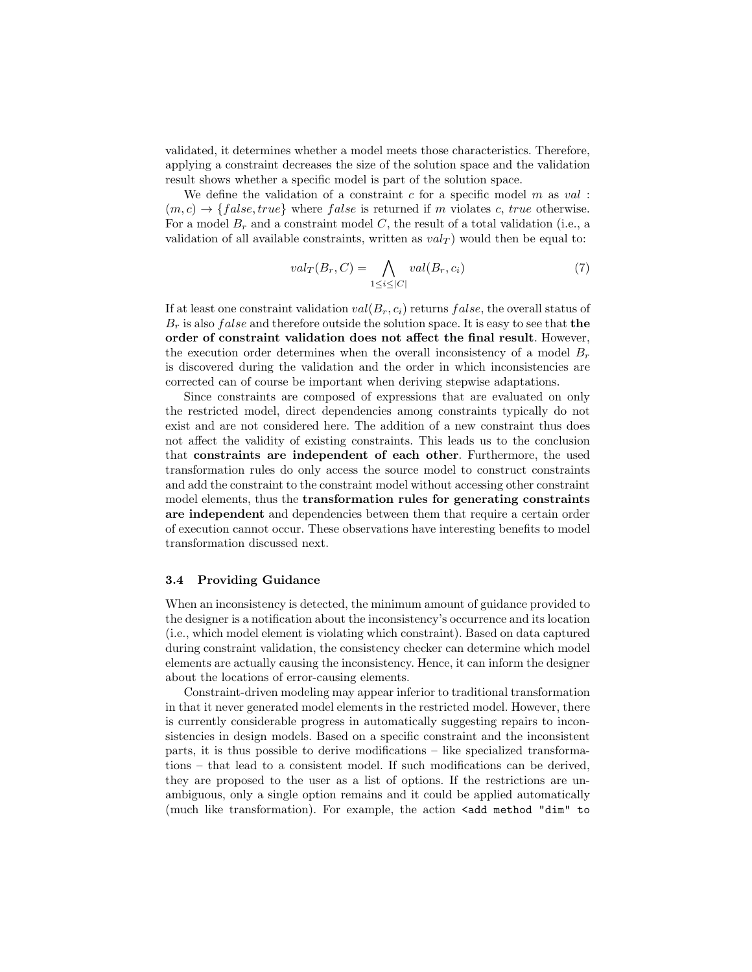validated, it determines whether a model meets those characteristics. Therefore, applying a constraint decreases the size of the solution space and the validation result shows whether a specific model is part of the solution space.

We define the validation of a constraint  $c$  for a specific model  $m$  as  $val$ :  $(m, c) \rightarrow \{false, true\}$  where false is returned if m violates c, true otherwise. For a model  $B_r$  and a constraint model C, the result of a total validation (i.e., a validation of all available constraints, written as  $val<sub>T</sub>$  ) would then be equal to:

$$
val_T(B_r, C) = \bigwedge_{1 \le i \le |C|} val(B_r, c_i)
$$
\n<sup>(7)</sup>

If at least one constraint validation  $val(B_r, c_i)$  returns false, the overall status of  $B_r$  is also false and therefore outside the solution space. It is easy to see that the order of constraint validation does not affect the final result. However, the execution order determines when the overall inconsistency of a model  $B_r$ is discovered during the validation and the order in which inconsistencies are corrected can of course be important when deriving stepwise adaptations.

Since constraints are composed of expressions that are evaluated on only the restricted model, direct dependencies among constraints typically do not exist and are not considered here. The addition of a new constraint thus does not affect the validity of existing constraints. This leads us to the conclusion that constraints are independent of each other. Furthermore, the used transformation rules do only access the source model to construct constraints and add the constraint to the constraint model without accessing other constraint model elements, thus the transformation rules for generating constraints are independent and dependencies between them that require a certain order of execution cannot occur. These observations have interesting benefits to model transformation discussed next.

### 3.4 Providing Guidance

When an inconsistency is detected, the minimum amount of guidance provided to the designer is a notification about the inconsistency's occurrence and its location (i.e., which model element is violating which constraint). Based on data captured during constraint validation, the consistency checker can determine which model elements are actually causing the inconsistency. Hence, it can inform the designer about the locations of error-causing elements.

Constraint-driven modeling may appear inferior to traditional transformation in that it never generated model elements in the restricted model. However, there is currently considerable progress in automatically suggesting repairs to inconsistencies in design models. Based on a specific constraint and the inconsistent parts, it is thus possible to derive modifications – like specialized transformations – that lead to a consistent model. If such modifications can be derived, they are proposed to the user as a list of options. If the restrictions are unambiguous, only a single option remains and it could be applied automatically (much like transformation). For example, the action  $\leq$  add method "dim" to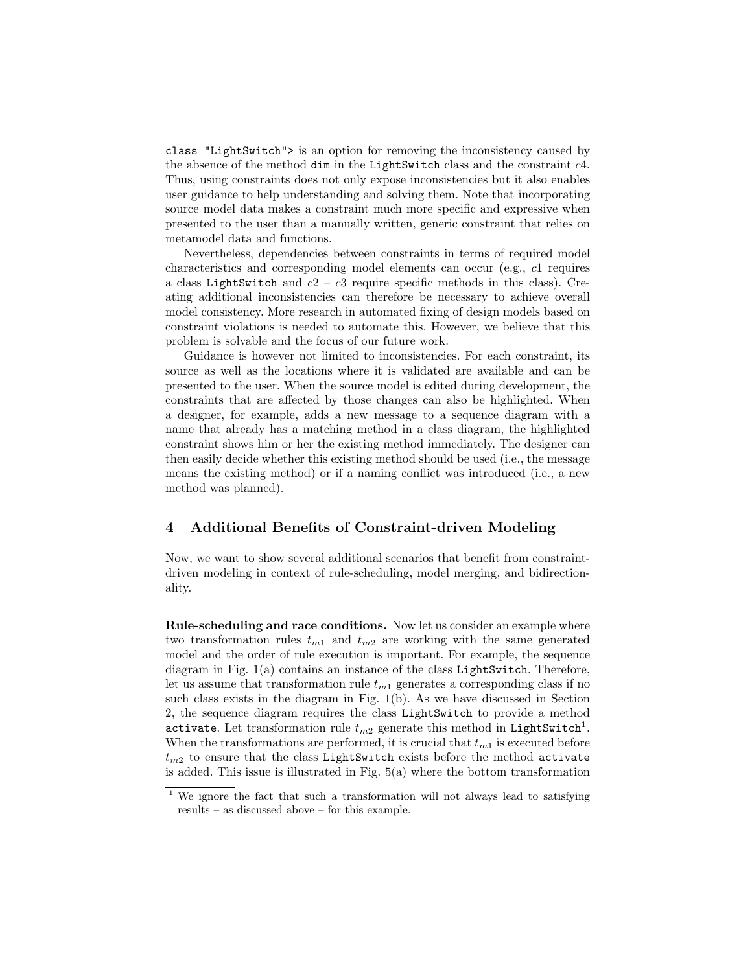class "LightSwitch"> is an option for removing the inconsistency caused by the absence of the method dim in the LightSwitch class and the constraint c4. Thus, using constraints does not only expose inconsistencies but it also enables user guidance to help understanding and solving them. Note that incorporating source model data makes a constraint much more specific and expressive when presented to the user than a manually written, generic constraint that relies on metamodel data and functions.

Nevertheless, dependencies between constraints in terms of required model characteristics and corresponding model elements can occur (e.g., c1 requires a class LightSwitch and  $c2 - c3$  require specific methods in this class). Creating additional inconsistencies can therefore be necessary to achieve overall model consistency. More research in automated fixing of design models based on constraint violations is needed to automate this. However, we believe that this problem is solvable and the focus of our future work.

Guidance is however not limited to inconsistencies. For each constraint, its source as well as the locations where it is validated are available and can be presented to the user. When the source model is edited during development, the constraints that are affected by those changes can also be highlighted. When a designer, for example, adds a new message to a sequence diagram with a name that already has a matching method in a class diagram, the highlighted constraint shows him or her the existing method immediately. The designer can then easily decide whether this existing method should be used (i.e., the message means the existing method) or if a naming conflict was introduced (i.e., a new method was planned).

## 4 Additional Benefits of Constraint-driven Modeling

Now, we want to show several additional scenarios that benefit from constraintdriven modeling in context of rule-scheduling, model merging, and bidirectionality.

Rule-scheduling and race conditions. Now let us consider an example where two transformation rules  $t_{m1}$  and  $t_{m2}$  are working with the same generated model and the order of rule execution is important. For example, the sequence diagram in Fig. 1(a) contains an instance of the class LightSwitch. Therefore, let us assume that transformation rule  $t_{m1}$  generates a corresponding class if no such class exists in the diagram in Fig. 1(b). As we have discussed in Section 2, the sequence diagram requires the class LightSwitch to provide a method activate. Let transformation rule  $t_{m2}$  generate this method in LightSwitch<sup>1</sup>. When the transformations are performed, it is crucial that  $t_{m1}$  is executed before  $t_{m2}$  to ensure that the class LightSwitch exists before the method activate is added. This issue is illustrated in Fig. 5(a) where the bottom transformation

 $1$  We ignore the fact that such a transformation will not always lead to satisfying results – as discussed above – for this example.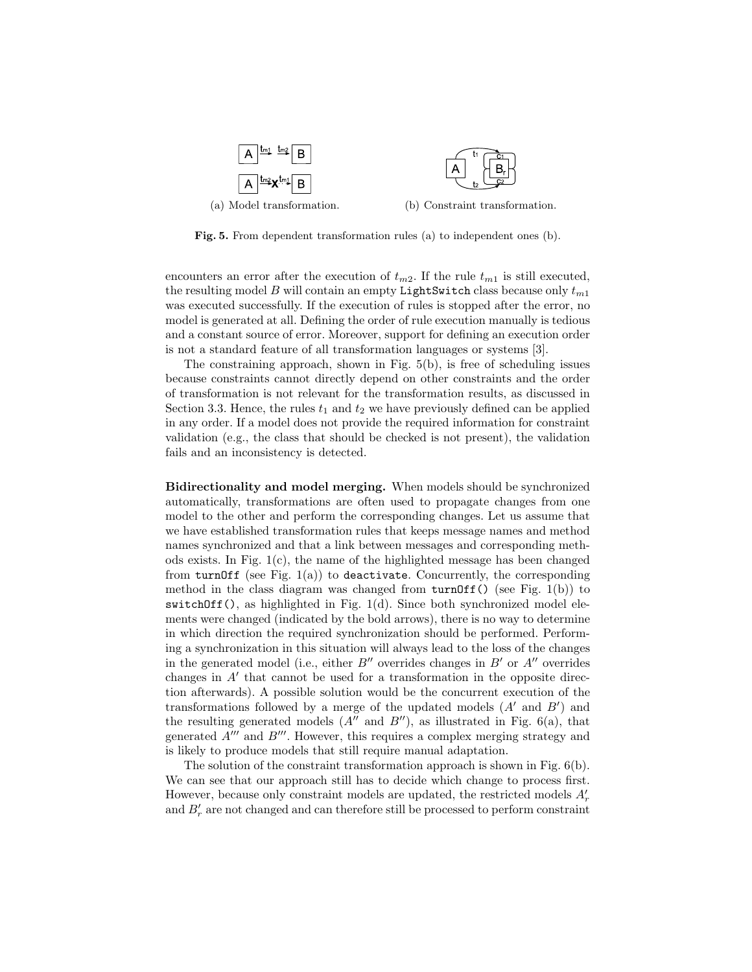

Fig. 5. From dependent transformation rules (a) to independent ones (b).

encounters an error after the execution of  $t_{m2}$ . If the rule  $t_{m1}$  is still executed, the resulting model B will contain an empty LightSwitch class because only  $t_{m1}$ was executed successfully. If the execution of rules is stopped after the error, no model is generated at all. Defining the order of rule execution manually is tedious and a constant source of error. Moreover, support for defining an execution order is not a standard feature of all transformation languages or systems [3].

The constraining approach, shown in Fig. 5(b), is free of scheduling issues because constraints cannot directly depend on other constraints and the order of transformation is not relevant for the transformation results, as discussed in Section 3.3. Hence, the rules  $t_1$  and  $t_2$  we have previously defined can be applied in any order. If a model does not provide the required information for constraint validation (e.g., the class that should be checked is not present), the validation fails and an inconsistency is detected.

Bidirectionality and model merging. When models should be synchronized automatically, transformations are often used to propagate changes from one model to the other and perform the corresponding changes. Let us assume that we have established transformation rules that keeps message names and method names synchronized and that a link between messages and corresponding methods exists. In Fig. 1(c), the name of the highlighted message has been changed from turnOff (see Fig. 1(a)) to deactivate. Concurrently, the corresponding method in the class diagram was changed from  $turnOff()$  (see Fig. 1(b)) to switchOff(), as highlighted in Fig. 1(d). Since both synchronized model elements were changed (indicated by the bold arrows), there is no way to determine in which direction the required synchronization should be performed. Performing a synchronization in this situation will always lead to the loss of the changes in the generated model (i.e., either  $B''$  overrides changes in  $B'$  or  $A''$  overrides changes in  $A'$  that cannot be used for a transformation in the opposite direction afterwards). A possible solution would be the concurrent execution of the transformations followed by a merge of the updated models  $(A'$  and  $B')$  and the resulting generated models  $(A''$  and  $B'')$ , as illustrated in Fig. 6(a), that generated  $A^{\prime\prime\prime}$  and  $B^{\prime\prime\prime}$ . However, this requires a complex merging strategy and is likely to produce models that still require manual adaptation.

The solution of the constraint transformation approach is shown in Fig. 6(b). We can see that our approach still has to decide which change to process first. However, because only constraint models are updated, the restricted models  $A'_r$ and  $B'_r$  are not changed and can therefore still be processed to perform constraint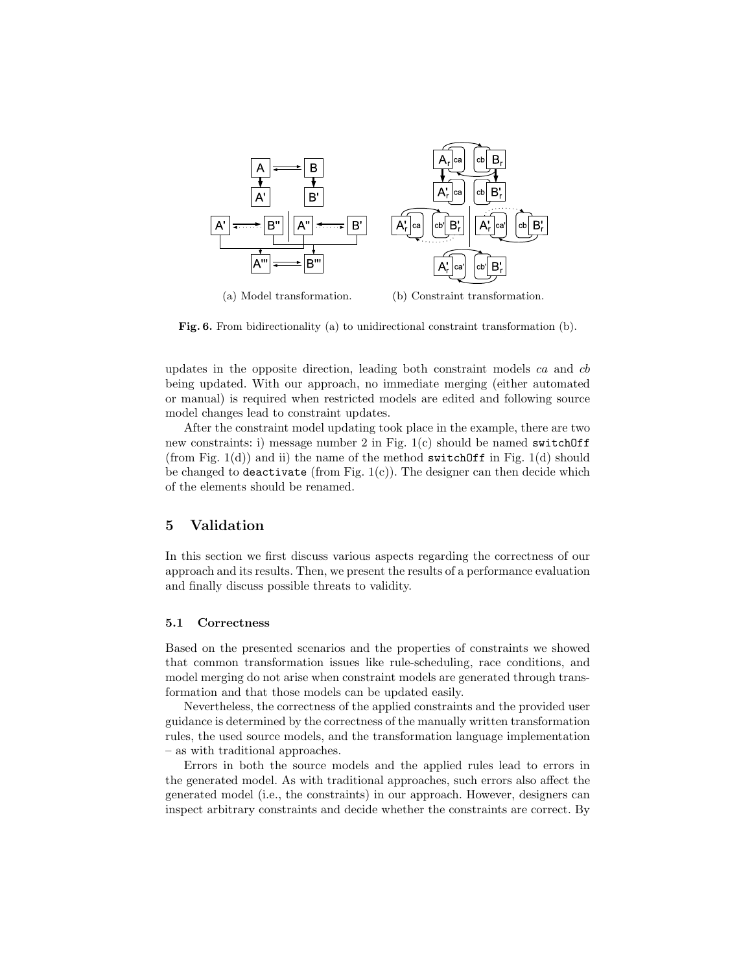

Fig. 6. From bidirectionality (a) to unidirectional constraint transformation (b).

updates in the opposite direction, leading both constraint models ca and cb being updated. With our approach, no immediate merging (either automated or manual) is required when restricted models are edited and following source model changes lead to constraint updates.

After the constraint model updating took place in the example, there are two new constraints: i) message number 2 in Fig. 1(c) should be named switchOff (from Fig.  $1(d)$ ) and ii) the name of the method switch Off in Fig.  $1(d)$  should be changed to deactivate (from Fig.  $1(c)$ ). The designer can then decide which of the elements should be renamed.

# 5 Validation

In this section we first discuss various aspects regarding the correctness of our approach and its results. Then, we present the results of a performance evaluation and finally discuss possible threats to validity.

### 5.1 Correctness

Based on the presented scenarios and the properties of constraints we showed that common transformation issues like rule-scheduling, race conditions, and model merging do not arise when constraint models are generated through transformation and that those models can be updated easily.

Nevertheless, the correctness of the applied constraints and the provided user guidance is determined by the correctness of the manually written transformation rules, the used source models, and the transformation language implementation – as with traditional approaches.

Errors in both the source models and the applied rules lead to errors in the generated model. As with traditional approaches, such errors also affect the generated model (i.e., the constraints) in our approach. However, designers can inspect arbitrary constraints and decide whether the constraints are correct. By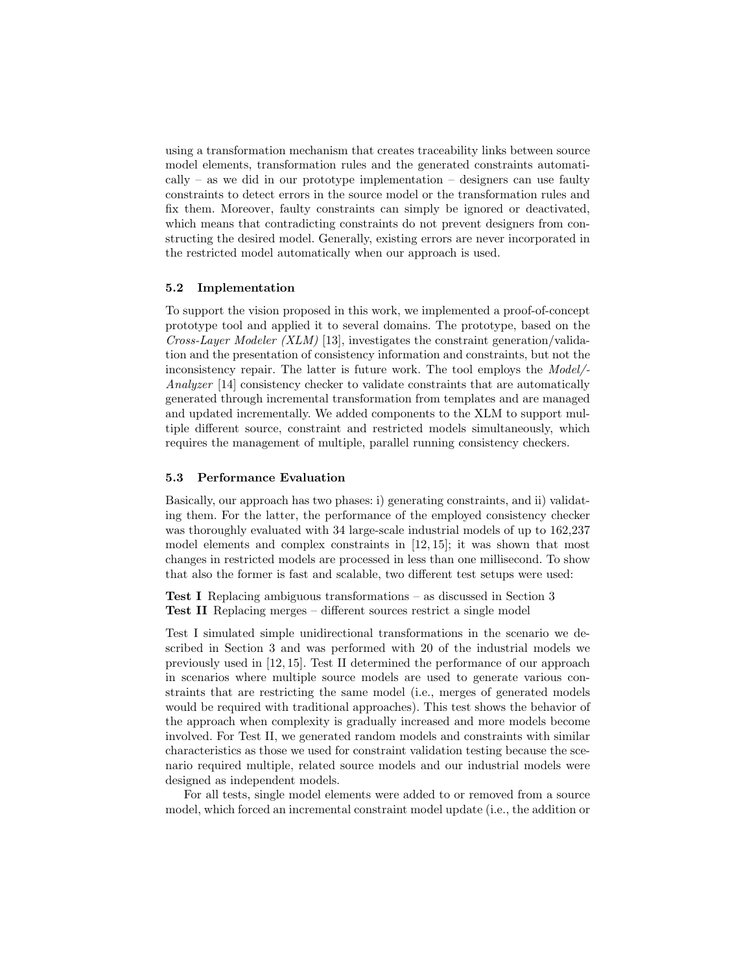using a transformation mechanism that creates traceability links between source model elements, transformation rules and the generated constraints automatically – as we did in our prototype implementation – designers can use faulty constraints to detect errors in the source model or the transformation rules and fix them. Moreover, faulty constraints can simply be ignored or deactivated, which means that contradicting constraints do not prevent designers from constructing the desired model. Generally, existing errors are never incorporated in the restricted model automatically when our approach is used.

### 5.2 Implementation

To support the vision proposed in this work, we implemented a proof-of-concept prototype tool and applied it to several domains. The prototype, based on the Cross-Layer Modeler  $(XLM)$  [13], investigates the constraint generation/validation and the presentation of consistency information and constraints, but not the inconsistency repair. The latter is future work. The tool employs the Model/- Analyzer [14] consistency checker to validate constraints that are automatically generated through incremental transformation from templates and are managed and updated incrementally. We added components to the XLM to support multiple different source, constraint and restricted models simultaneously, which requires the management of multiple, parallel running consistency checkers.

### 5.3 Performance Evaluation

Basically, our approach has two phases: i) generating constraints, and ii) validating them. For the latter, the performance of the employed consistency checker was thoroughly evaluated with 34 large-scale industrial models of up to 162,237 model elements and complex constraints in [12, 15]; it was shown that most changes in restricted models are processed in less than one millisecond. To show that also the former is fast and scalable, two different test setups were used:

Test I Replacing ambiguous transformations – as discussed in Section 3 Test II Replacing merges – different sources restrict a single model

Test I simulated simple unidirectional transformations in the scenario we described in Section 3 and was performed with 20 of the industrial models we previously used in [12, 15]. Test II determined the performance of our approach in scenarios where multiple source models are used to generate various constraints that are restricting the same model (i.e., merges of generated models would be required with traditional approaches). This test shows the behavior of the approach when complexity is gradually increased and more models become involved. For Test II, we generated random models and constraints with similar characteristics as those we used for constraint validation testing because the scenario required multiple, related source models and our industrial models were designed as independent models.

For all tests, single model elements were added to or removed from a source model, which forced an incremental constraint model update (i.e., the addition or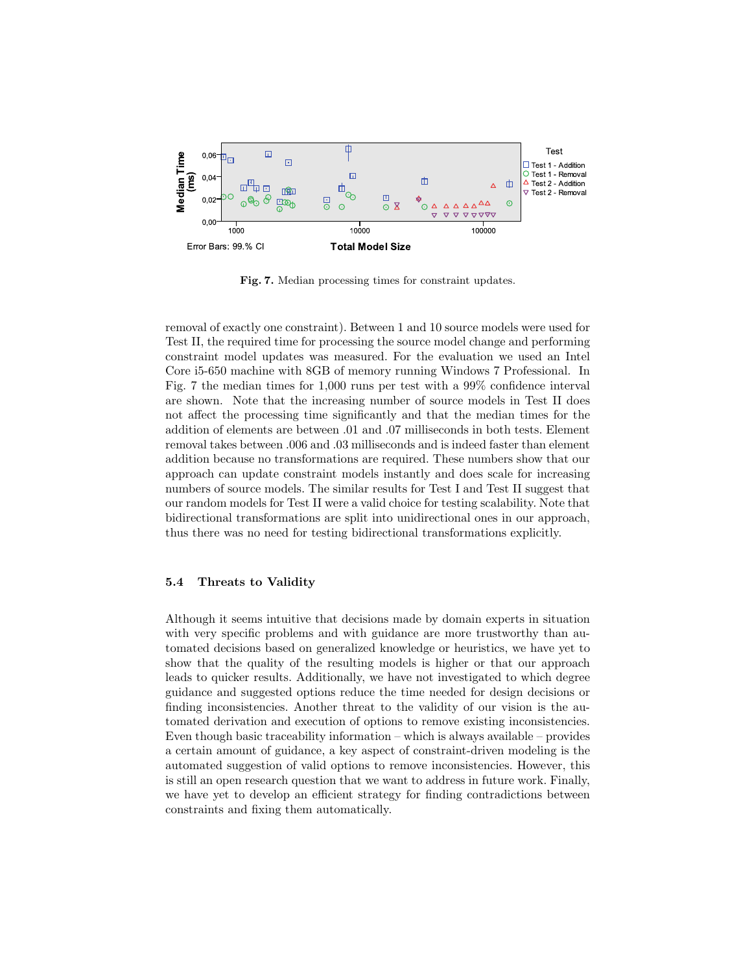

Fig. 7. Median processing times for constraint updates.

removal of exactly one constraint). Between 1 and 10 source models were used for Test II, the required time for processing the source model change and performing constraint model updates was measured. For the evaluation we used an Intel Core i5-650 machine with 8GB of memory running Windows 7 Professional. In Fig. 7 the median times for 1,000 runs per test with a 99% confidence interval are shown. Note that the increasing number of source models in Test II does not affect the processing time significantly and that the median times for the addition of elements are between .01 and .07 milliseconds in both tests. Element removal takes between .006 and .03 milliseconds and is indeed faster than element addition because no transformations are required. These numbers show that our approach can update constraint models instantly and does scale for increasing numbers of source models. The similar results for Test I and Test II suggest that our random models for Test II were a valid choice for testing scalability. Note that bidirectional transformations are split into unidirectional ones in our approach, thus there was no need for testing bidirectional transformations explicitly.

### 5.4 Threats to Validity

Although it seems intuitive that decisions made by domain experts in situation with very specific problems and with guidance are more trustworthy than automated decisions based on generalized knowledge or heuristics, we have yet to show that the quality of the resulting models is higher or that our approach leads to quicker results. Additionally, we have not investigated to which degree guidance and suggested options reduce the time needed for design decisions or finding inconsistencies. Another threat to the validity of our vision is the automated derivation and execution of options to remove existing inconsistencies. Even though basic traceability information – which is always available – provides a certain amount of guidance, a key aspect of constraint-driven modeling is the automated suggestion of valid options to remove inconsistencies. However, this is still an open research question that we want to address in future work. Finally, we have yet to develop an efficient strategy for finding contradictions between constraints and fixing them automatically.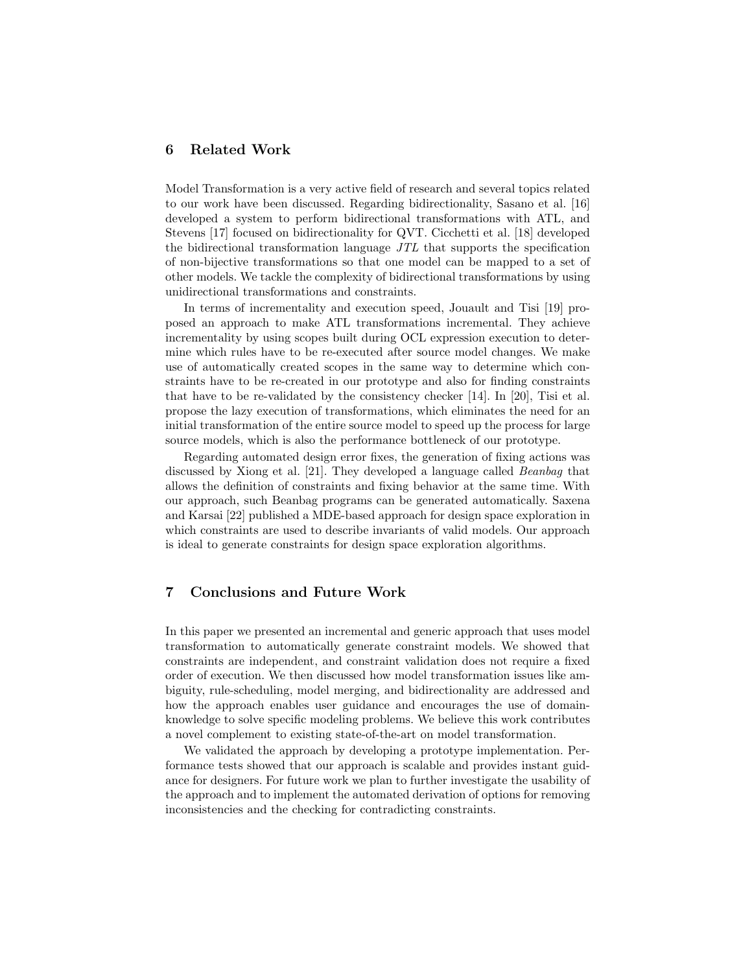# 6 Related Work

Model Transformation is a very active field of research and several topics related to our work have been discussed. Regarding bidirectionality, Sasano et al. [16] developed a system to perform bidirectional transformations with ATL, and Stevens [17] focused on bidirectionality for QVT. Cicchetti et al. [18] developed the bidirectional transformation language JTL that supports the specification of non-bijective transformations so that one model can be mapped to a set of other models. We tackle the complexity of bidirectional transformations by using unidirectional transformations and constraints.

In terms of incrementality and execution speed, Jouault and Tisi [19] proposed an approach to make ATL transformations incremental. They achieve incrementality by using scopes built during OCL expression execution to determine which rules have to be re-executed after source model changes. We make use of automatically created scopes in the same way to determine which constraints have to be re-created in our prototype and also for finding constraints that have to be re-validated by the consistency checker [14]. In [20], Tisi et al. propose the lazy execution of transformations, which eliminates the need for an initial transformation of the entire source model to speed up the process for large source models, which is also the performance bottleneck of our prototype.

Regarding automated design error fixes, the generation of fixing actions was discussed by Xiong et al. [21]. They developed a language called Beanbag that allows the definition of constraints and fixing behavior at the same time. With our approach, such Beanbag programs can be generated automatically. Saxena and Karsai [22] published a MDE-based approach for design space exploration in which constraints are used to describe invariants of valid models. Our approach is ideal to generate constraints for design space exploration algorithms.

# 7 Conclusions and Future Work

In this paper we presented an incremental and generic approach that uses model transformation to automatically generate constraint models. We showed that constraints are independent, and constraint validation does not require a fixed order of execution. We then discussed how model transformation issues like ambiguity, rule-scheduling, model merging, and bidirectionality are addressed and how the approach enables user guidance and encourages the use of domainknowledge to solve specific modeling problems. We believe this work contributes a novel complement to existing state-of-the-art on model transformation.

We validated the approach by developing a prototype implementation. Performance tests showed that our approach is scalable and provides instant guidance for designers. For future work we plan to further investigate the usability of the approach and to implement the automated derivation of options for removing inconsistencies and the checking for contradicting constraints.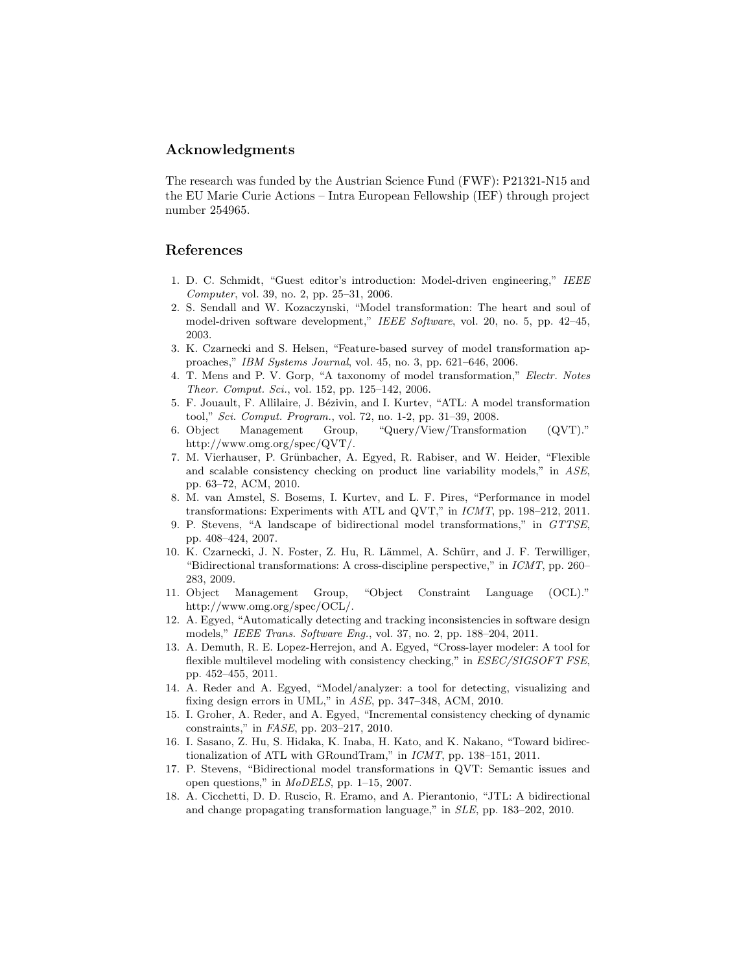# Acknowledgments

The research was funded by the Austrian Science Fund (FWF): P21321-N15 and the EU Marie Curie Actions – Intra European Fellowship (IEF) through project number 254965.

# References

- 1. D. C. Schmidt, "Guest editor's introduction: Model-driven engineering," IEEE Computer, vol. 39, no. 2, pp. 25–31, 2006.
- 2. S. Sendall and W. Kozaczynski, "Model transformation: The heart and soul of model-driven software development," IEEE Software, vol. 20, no. 5, pp. 42–45, 2003.
- 3. K. Czarnecki and S. Helsen, "Feature-based survey of model transformation approaches," IBM Systems Journal, vol. 45, no. 3, pp. 621–646, 2006.
- 4. T. Mens and P. V. Gorp, "A taxonomy of model transformation," Electr. Notes Theor. Comput. Sci., vol. 152, pp. 125–142, 2006.
- 5. F. Jouault, F. Allilaire, J. Bézivin, and I. Kurtev, "ATL: A model transformation tool," Sci. Comput. Program., vol. 72, no. 1-2, pp. 31–39, 2008.
- 6. Object Management Group, "Query/View/Transformation (QVT)." http://www.omg.org/spec/QVT/.
- 7. M. Vierhauser, P. Grünbacher, A. Egyed, R. Rabiser, and W. Heider, "Flexible and scalable consistency checking on product line variability models," in ASE, pp. 63–72, ACM, 2010.
- 8. M. van Amstel, S. Bosems, I. Kurtev, and L. F. Pires, "Performance in model transformations: Experiments with ATL and QVT," in ICMT, pp. 198–212, 2011.
- 9. P. Stevens, "A landscape of bidirectional model transformations," in GTTSE, pp. 408–424, 2007.
- 10. K. Czarnecki, J. N. Foster, Z. Hu, R. Lämmel, A. Schürr, and J. F. Terwilliger, "Bidirectional transformations: A cross-discipline perspective," in  $ICMT$ , pp. 260– 283, 2009.
- 11. Object Management Group, "Object Constraint Language (OCL)." http://www.omg.org/spec/OCL/.
- 12. A. Egyed, "Automatically detecting and tracking inconsistencies in software design models," IEEE Trans. Software Eng., vol. 37, no. 2, pp. 188–204, 2011.
- 13. A. Demuth, R. E. Lopez-Herrejon, and A. Egyed, "Cross-layer modeler: A tool for flexible multilevel modeling with consistency checking," in ESEC/SIGSOFT FSE, pp. 452–455, 2011.
- 14. A. Reder and A. Egyed, "Model/analyzer: a tool for detecting, visualizing and fixing design errors in UML," in ASE, pp. 347–348, ACM, 2010.
- 15. I. Groher, A. Reder, and A. Egyed, "Incremental consistency checking of dynamic constraints," in FASE, pp. 203–217, 2010.
- 16. I. Sasano, Z. Hu, S. Hidaka, K. Inaba, H. Kato, and K. Nakano, "Toward bidirectionalization of ATL with GRoundTram," in ICMT, pp. 138–151, 2011.
- 17. P. Stevens, "Bidirectional model transformations in QVT: Semantic issues and open questions," in MoDELS, pp. 1–15, 2007.
- 18. A. Cicchetti, D. D. Ruscio, R. Eramo, and A. Pierantonio, "JTL: A bidirectional and change propagating transformation language," in SLE, pp. 183–202, 2010.